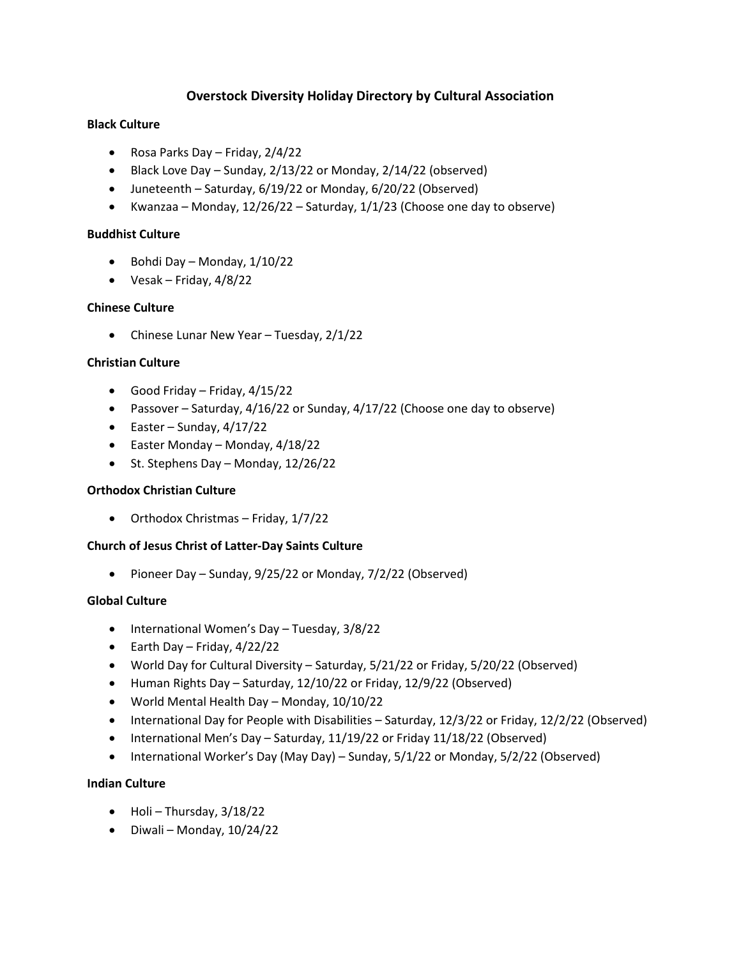# **Overstock Diversity Holiday Directory by Cultural Association**

# **Black Culture**

- Rosa Parks Day Friday, 2/4/22
- Black Love Day Sunday, 2/13/22 or Monday, 2/14/22 (observed)
- Juneteenth Saturday, 6/19/22 or Monday, 6/20/22 (Observed)
- Kwanzaa Monday, 12/26/22 Saturday, 1/1/23 (Choose one day to observe)

# **Buddhist Culture**

- Bohdi Day Monday, 1/10/22
- Vesak Friday,  $4/8/22$

# **Chinese Culture**

• Chinese Lunar New Year – Tuesday, 2/1/22

# **Christian Culture**

- Good Friday Friday, 4/15/22
- Passover Saturday, 4/16/22 or Sunday, 4/17/22 (Choose one day to observe)
- $\bullet$  Easter Sunday, 4/17/22
- Easter Monday Monday, 4/18/22
- St. Stephens Day Monday, 12/26/22

# **Orthodox Christian Culture**

• Orthodox Christmas – Friday, 1/7/22

# **Church of Jesus Christ of Latter-Day Saints Culture**

• Pioneer Day – Sunday, 9/25/22 or Monday, 7/2/22 (Observed)

# **Global Culture**

- International Women's Day Tuesday, 3/8/22
- Earth Day Friday,  $4/22/22$
- World Day for Cultural Diversity Saturday, 5/21/22 or Friday, 5/20/22 (Observed)
- Human Rights Day Saturday, 12/10/22 or Friday, 12/9/22 (Observed)
- World Mental Health Day Monday, 10/10/22
- International Day for People with Disabilities Saturday, 12/3/22 or Friday, 12/2/22 (Observed)
- International Men's Day Saturday, 11/19/22 or Friday 11/18/22 (Observed)
- International Worker's Day (May Day) Sunday, 5/1/22 or Monday, 5/2/22 (Observed)

# **Indian Culture**

- Holi Thursday, 3/18/22
- Diwali Monday, 10/24/22